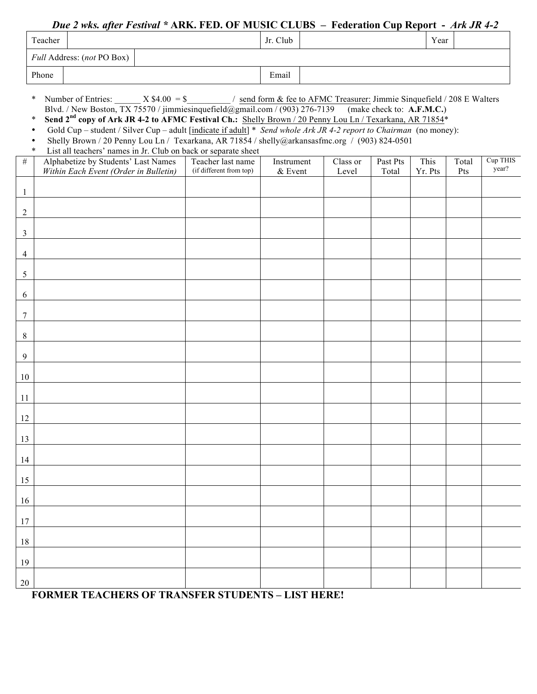## *Due 2 wks. after Festival \** **ARK. FED. OF MUSIC CLUBS – Federation Cup Report -** *Ark JR 4-2*

|                 | Teacher                                                                                                                                                                                                                                                                                                                                                                                                                                                                                                                                                                                                                                                                                      |                                       |  |                         | Jr. Club   |  |          |          | Year    |       |                   |  |
|-----------------|----------------------------------------------------------------------------------------------------------------------------------------------------------------------------------------------------------------------------------------------------------------------------------------------------------------------------------------------------------------------------------------------------------------------------------------------------------------------------------------------------------------------------------------------------------------------------------------------------------------------------------------------------------------------------------------------|---------------------------------------|--|-------------------------|------------|--|----------|----------|---------|-------|-------------------|--|
|                 |                                                                                                                                                                                                                                                                                                                                                                                                                                                                                                                                                                                                                                                                                              | Full Address: (not PO Box)            |  |                         |            |  |          |          |         |       |                   |  |
|                 | Phone                                                                                                                                                                                                                                                                                                                                                                                                                                                                                                                                                                                                                                                                                        |                                       |  |                         | Email      |  |          |          |         |       |                   |  |
|                 | Number of Entries: $X \$4.00 = \$$ / send form & fee to AFMC Treasurer: Jimmie Sinquefield / 208 E Walters<br>$\ast$<br>Blvd. / New Boston, TX 75570 / jimmiesinquefield@gmail.com / (903) 276-7139 (make check to: A.F.M.C.)<br>Send 2 <sup>nd</sup> copy of Ark JR 4-2 to AFMC Festival Ch.: Shelly Brown / 20 Penny Lou Ln / Texarkana, AR 71854*<br>$\ast$<br>Gold Cup - student / Silver Cup - adult [indicate if adult] * Send whole Ark JR 4-2 report to Chairman (no money):<br>$\bullet$<br>Shelly Brown / 20 Penny Lou Ln / Texarkana, AR 71854 / shelly@arkansasfmc.org / (903) 824-0501<br>$\bullet$<br>$\ast$<br>List all teachers' names in Jr. Club on back or separate sheet |                                       |  |                         |            |  |          |          |         |       |                   |  |
| #               |                                                                                                                                                                                                                                                                                                                                                                                                                                                                                                                                                                                                                                                                                              | Alphabetize by Students' Last Names   |  | Teacher last name       | Instrument |  | Class or | Past Pts | This    | Total | Cup THIS<br>year? |  |
|                 |                                                                                                                                                                                                                                                                                                                                                                                                                                                                                                                                                                                                                                                                                              | Within Each Event (Order in Bulletin) |  | (if different from top) | & Event    |  | Level    | Total    | Yr. Pts | Pts   |                   |  |
| $\overline{1}$  |                                                                                                                                                                                                                                                                                                                                                                                                                                                                                                                                                                                                                                                                                              |                                       |  |                         |            |  |          |          |         |       |                   |  |
| 2               |                                                                                                                                                                                                                                                                                                                                                                                                                                                                                                                                                                                                                                                                                              |                                       |  |                         |            |  |          |          |         |       |                   |  |
| $\overline{3}$  |                                                                                                                                                                                                                                                                                                                                                                                                                                                                                                                                                                                                                                                                                              |                                       |  |                         |            |  |          |          |         |       |                   |  |
| $\overline{4}$  |                                                                                                                                                                                                                                                                                                                                                                                                                                                                                                                                                                                                                                                                                              |                                       |  |                         |            |  |          |          |         |       |                   |  |
| $\overline{5}$  |                                                                                                                                                                                                                                                                                                                                                                                                                                                                                                                                                                                                                                                                                              |                                       |  |                         |            |  |          |          |         |       |                   |  |
| 6               |                                                                                                                                                                                                                                                                                                                                                                                                                                                                                                                                                                                                                                                                                              |                                       |  |                         |            |  |          |          |         |       |                   |  |
| $\tau$          |                                                                                                                                                                                                                                                                                                                                                                                                                                                                                                                                                                                                                                                                                              |                                       |  |                         |            |  |          |          |         |       |                   |  |
| $8\phantom{.0}$ |                                                                                                                                                                                                                                                                                                                                                                                                                                                                                                                                                                                                                                                                                              |                                       |  |                         |            |  |          |          |         |       |                   |  |
| 9               |                                                                                                                                                                                                                                                                                                                                                                                                                                                                                                                                                                                                                                                                                              |                                       |  |                         |            |  |          |          |         |       |                   |  |
| 10              |                                                                                                                                                                                                                                                                                                                                                                                                                                                                                                                                                                                                                                                                                              |                                       |  |                         |            |  |          |          |         |       |                   |  |
| 11              |                                                                                                                                                                                                                                                                                                                                                                                                                                                                                                                                                                                                                                                                                              |                                       |  |                         |            |  |          |          |         |       |                   |  |
| 12              |                                                                                                                                                                                                                                                                                                                                                                                                                                                                                                                                                                                                                                                                                              |                                       |  |                         |            |  |          |          |         |       |                   |  |
| 13              |                                                                                                                                                                                                                                                                                                                                                                                                                                                                                                                                                                                                                                                                                              |                                       |  |                         |            |  |          |          |         |       |                   |  |
| 14              |                                                                                                                                                                                                                                                                                                                                                                                                                                                                                                                                                                                                                                                                                              |                                       |  |                         |            |  |          |          |         |       |                   |  |
| 15              |                                                                                                                                                                                                                                                                                                                                                                                                                                                                                                                                                                                                                                                                                              |                                       |  |                         |            |  |          |          |         |       |                   |  |
| 16              |                                                                                                                                                                                                                                                                                                                                                                                                                                                                                                                                                                                                                                                                                              |                                       |  |                         |            |  |          |          |         |       |                   |  |
| 17              |                                                                                                                                                                                                                                                                                                                                                                                                                                                                                                                                                                                                                                                                                              |                                       |  |                         |            |  |          |          |         |       |                   |  |
| 18              |                                                                                                                                                                                                                                                                                                                                                                                                                                                                                                                                                                                                                                                                                              |                                       |  |                         |            |  |          |          |         |       |                   |  |
| 19              |                                                                                                                                                                                                                                                                                                                                                                                                                                                                                                                                                                                                                                                                                              |                                       |  |                         |            |  |          |          |         |       |                   |  |
| $20\,$          |                                                                                                                                                                                                                                                                                                                                                                                                                                                                                                                                                                                                                                                                                              |                                       |  |                         |            |  |          |          |         |       |                   |  |

## **FORMER TEACHERS OF TRANSFER STUDENTS – LIST HERE!**